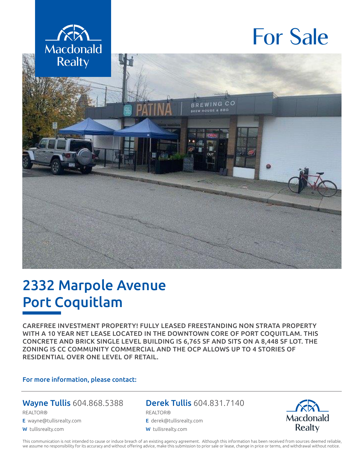

# For Sale



## 2332 Marpole Avenue Port Coquitlam

CAREFREE INVESTMENT PROPERTY! FULLY LEASED FREESTANDING NON STRATA PROPERTY WITH A 10 YEAR NET LEASE LOCATED IN THE DOWNTOWN CORE OF PORT COQUITLAM. THIS CONCRETE AND BRICK SINGLE LEVEL BUILDING IS 6,765 SF AND SITS ON A 8,448 SF LOT. THE ZONING IS CC COMMUNITY COMMERCIAL AND THE OCP ALLOWS UP TO 4 STORIES OF RESIDENTIAL OVER ONE LEVEL OF RETAIL.

#### For more information, please contact:

#### Wayne Tullis 604.868.5388

REALTOR®

E wayne@tullisrealty.com

W tullisrealty.com

#### Derek Tullis 604.831.7140

REALTOR®

- E derek@tullisrealty.com
- W tullisrealty.com



This communication is not intended to cause or induce breach of an existing agency agreement. Although this information has been received from sources deemed reliable, we assume no responsibility for its accuracy and without offering advice, make this submission to prior sale or lease, change in price or terms, and withdrawal without notice.